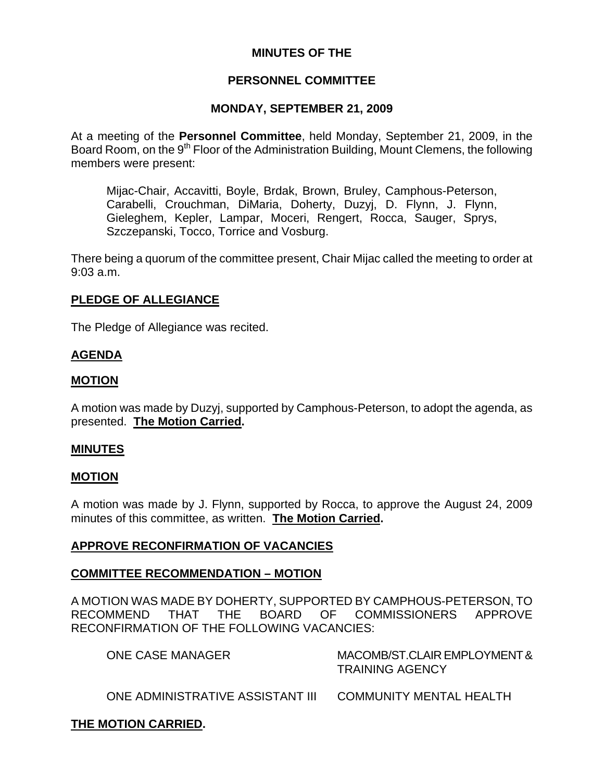# **MINUTES OF THE**

# **PERSONNEL COMMITTEE**

#### **MONDAY, SEPTEMBER 21, 2009**

At a meeting of the **Personnel Committee**, held Monday, September 21, 2009, in the Board Room, on the 9<sup>th</sup> Floor of the Administration Building, Mount Clemens, the following members were present:

Mijac-Chair, Accavitti, Boyle, Brdak, Brown, Bruley, Camphous-Peterson, Carabelli, Crouchman, DiMaria, Doherty, Duzyj, D. Flynn, J. Flynn, Gieleghem, Kepler, Lampar, Moceri, Rengert, Rocca, Sauger, Sprys, Szczepanski, Tocco, Torrice and Vosburg.

There being a quorum of the committee present, Chair Mijac called the meeting to order at 9:03 a.m.

#### **PLEDGE OF ALLEGIANCE**

The Pledge of Allegiance was recited.

### **AGENDA**

### **MOTION**

A motion was made by Duzyj, supported by Camphous-Peterson, to adopt the agenda, as presented. **The Motion Carried.** 

#### **MINUTES**

#### **MOTION**

A motion was made by J. Flynn, supported by Rocca, to approve the August 24, 2009 minutes of this committee, as written. **The Motion Carried.** 

### **APPROVE RECONFIRMATION OF VACANCIES**

### **COMMITTEE RECOMMENDATION – MOTION**

A MOTION WAS MADE BY DOHERTY, SUPPORTED BY CAMPHOUS-PETERSON, TO RECOMMEND THAT THE BOARD OF COMMISSIONERS APPROVE RECONFIRMATION OF THE FOLLOWING VACANCIES:

| ONE CASE MANAGER                 | MACOMB/ST.CLAIR EMPLOYMENT &<br><b>TRAINING AGENCY</b> |
|----------------------------------|--------------------------------------------------------|
| ONE ADMINISTRATIVE ASSISTANT III | COMMUNITY MENTAL HEALTH                                |

# **THE MOTION CARRIED.**